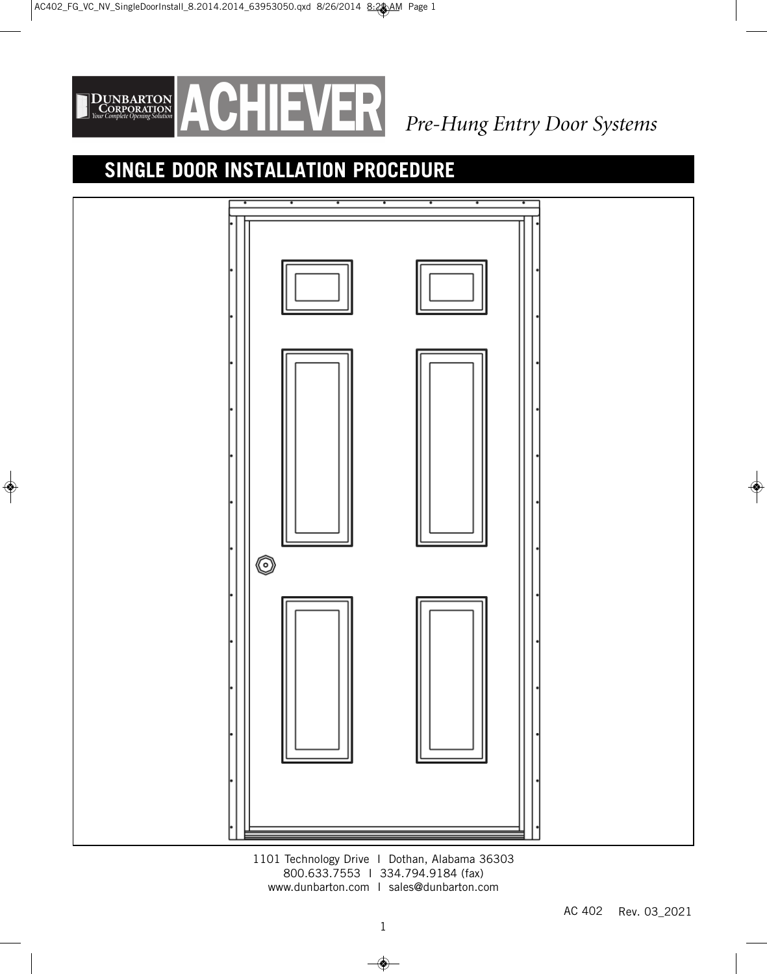

# **SINGLE DOOR INSTALLATION PROCEDURE**



1101 Technology Drive I Dothan, Alabama 36303 800.633.7553 I 334.794.9184 (fax) www.dunbarton.com I sales@dunbarton.com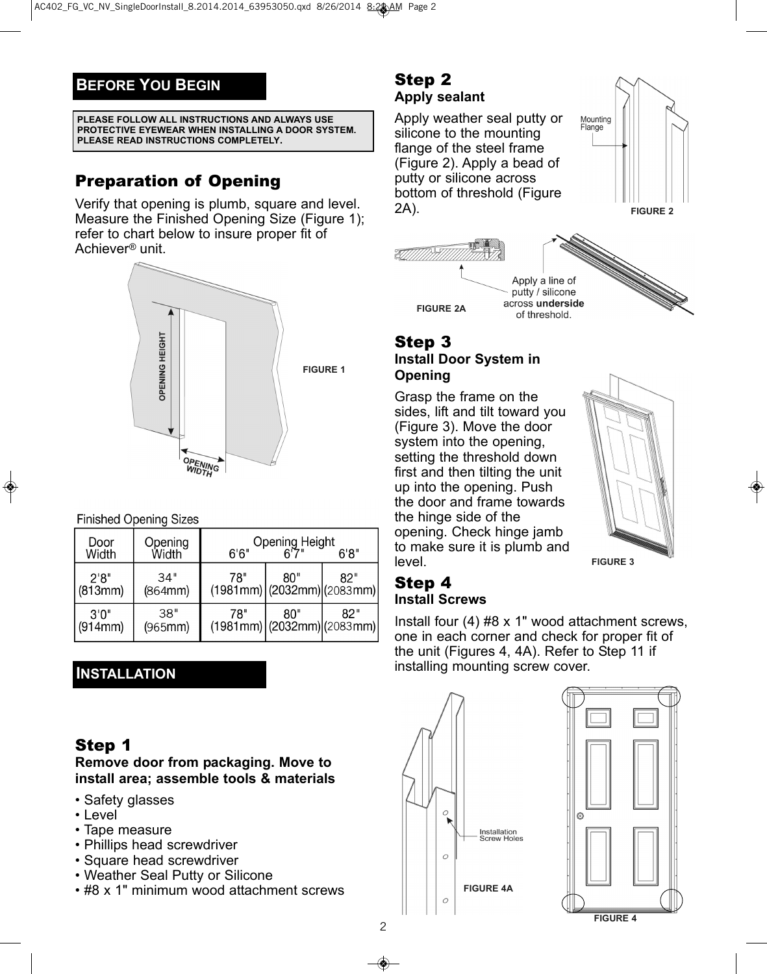# **BEFORE YOU BEGIN**

#### **PLEASE FOLLOW ALL INSTRUCTIONS AND ALWAYS USE PROTECTIVE EYEWEAR WHEN INSTALLING A DOOR SYSTEM. PLEASE READ INSTRUCTIONS COMPLETELY.**

# Preparation of Opening

Verify that opening is plumb, square and level. Measure the Finished Opening Size (Figure 1); refer to chart below to insure proper fit of Achiever*®* unit.



### **Finished Opening Sizes**

| Door<br>Width    | Opening<br>Width | 6'6'' | Opening Height<br>"6'7"                       | 6'8'' |
|------------------|------------------|-------|-----------------------------------------------|-------|
| 2'8''<br>(813mm) | 34"<br>(864mm)   | 78"   | 80"<br>$(1981$ mm $)(2032$ mm $)(2083$ mm $)$ | 82"   |
| 3'0''<br>(914mm) | 38"<br>(965mm)   | 78"   | 80"<br>$(1981$ mm $)(2032$ mm $)(2083$ mm $)$ | 82"   |

# **INSTALLATION**

# Step 1

**Remove door from packaging. Move to install area; assemble tools & materials**

- Safety glasses
- Level
- Tape measure
- Phillips head screwdriver
- Square head screwdriver
- Weather Seal Putty or Silicone
- #8 x 1" minimum wood attachment screws

# Step 2 **Apply sealant**

Apply weather seal putty or silicone to the mounting flange of the steel frame (Figure 2). Apply a bead of putty or silicone across bottom of threshold (Figure 2A).





### Step 3 **Install Door System in Opening**

Grasp the frame on the sides, lift and tilt toward you (Figure 3). Move the door system into the opening, setting the threshold down first and then tilting the unit up into the opening. Push the door and frame towards the hinge side of the opening. Check hinge jamb to make sure it is plumb and level.



# Step 4 **Install Screws**

Install four (4) #8 x 1" wood attachment screws, one in each corner and check for proper fit of the unit (Figures 4, 4A). Refer to Step 11 if installing mounting screw cover.



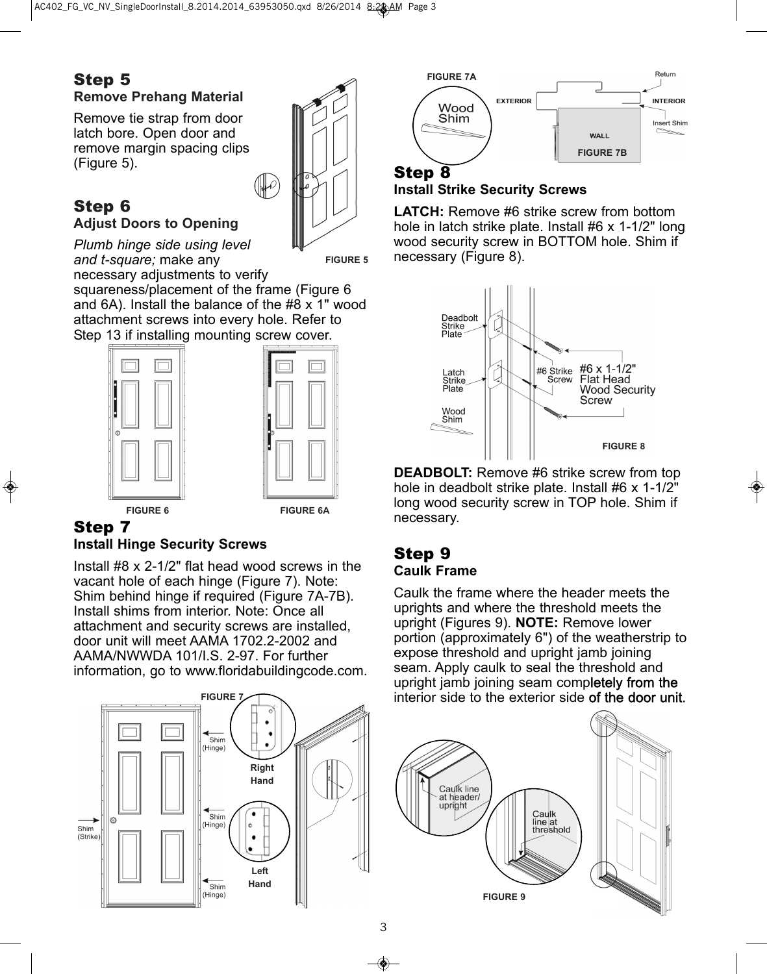## Step 5 **Remove Prehang Material**

Remove tie strap from door latch bore. Open door and remove margin spacing clips (Figure 5).

## Step 6 **Adjust Doors to Opening**

*and t-square;* make any

*Plumb hinge side using level*

**FIGURE 5**

necessary adjustments to verify squareness/placement of the frame (Figure 6 and 6A). Install the balance of the #8 x 1" wood attachment screws into every hole. Refer to Step 13 if installing mounting screw cover.

 $\mathcal{F}$ 



# Step 7

### **Install Hinge Security Screws**

Install #8 x 2-1/2" flat head wood screws in the vacant hole of each hinge (Figure 7). Note: Shim behind hinge if required (Figure 7A-7B). Install shims from interior. Note: Once all attachment and security screws are installed, door unit will meet AAMA 1702.2-2002 and AAMA/NWWDA 101/I.S. 2-97. For further information, go to www.floridabuildingcode.com.





# Step 8

#### **Install Strike Security Screws**

**LATCH:** Remove #6 strike screw from bottom hole in latch strike plate. Install #6 x 1-1/2" long wood security screw in BOTTOM hole. Shim if necessary (Figure 8).



**DEADBOLT:** Remove #6 strike screw from top hole in deadbolt strike plate. Install #6 x 1-1/2" long wood security screw in TOP hole. Shim if necessary.

#### Step 9 **Caulk Frame**

Caulk the frame where the header meets the uprights and where the threshold meets the upright (Figures 9). **NOTE:** Remove lower portion (approximately 6") of the weatherstrip to expose threshold and upright jamb joining seam. Apply caulk to seal the threshold and upright jamb joining seam completely from the interior side to the exterior side of the door unit.